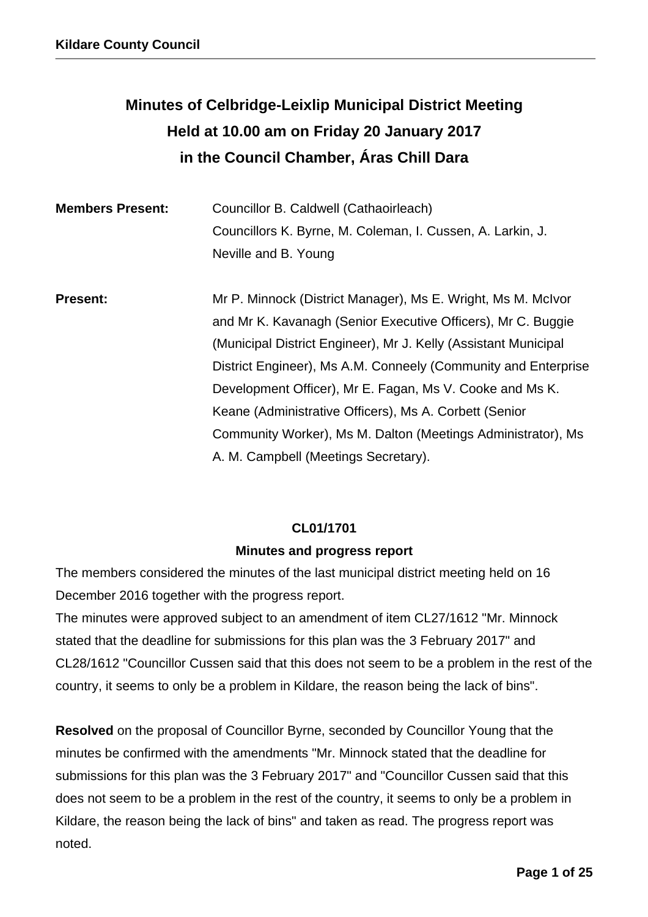# **Minutes of Celbridge-Leixlip Municipal District Meeting Held at 10.00 am on Friday 20 January 2017 in the Council Chamber, Áras Chill Dara**

| <b>Members Present:</b> | Councillor B. Caldwell (Cathaoirleach)                          |
|-------------------------|-----------------------------------------------------------------|
|                         | Councillors K. Byrne, M. Coleman, I. Cussen, A. Larkin, J.      |
|                         | Neville and B. Young                                            |
| <b>Present:</b>         | Mr P. Minnock (District Manager), Ms E. Wright, Ms M. McIvor    |
|                         | and Mr K. Kavanagh (Senior Executive Officers), Mr C. Buggie    |
|                         | (Municipal District Engineer), Mr J. Kelly (Assistant Municipal |
|                         | District Engineer), Ms A.M. Conneely (Community and Enterprise  |
|                         | Development Officer), Mr E. Fagan, Ms V. Cooke and Ms K.        |
|                         | Keane (Administrative Officers), Ms A. Corbett (Senior          |
|                         | Community Worker), Ms M. Dalton (Meetings Administrator), Ms    |
|                         | A. M. Campbell (Meetings Secretary).                            |

# **CL01/1701**

#### **Minutes and progress report**

The members considered the minutes of the last municipal district meeting held on 16 December 2016 together with the progress report.

The minutes were approved subject to an amendment of item CL27/1612 "Mr. Minnock stated that the deadline for submissions for this plan was the 3 February 2017" and CL28/1612 "Councillor Cussen said that this does not seem to be a problem in the rest of the country, it seems to only be a problem in Kildare, the reason being the lack of bins".

**Resolved** on the proposal of Councillor Byrne, seconded by Councillor Young that the minutes be confirmed with the amendments "Mr. Minnock stated that the deadline for submissions for this plan was the 3 February 2017" and "Councillor Cussen said that this does not seem to be a problem in the rest of the country, it seems to only be a problem in Kildare, the reason being the lack of bins" and taken as read. The progress report was noted.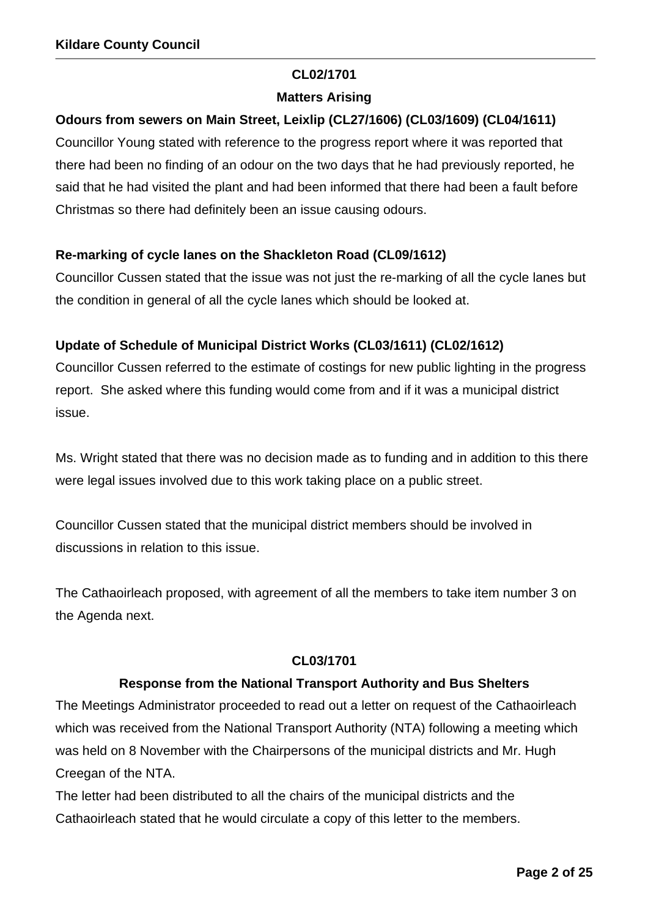## **CL02/1701**

#### **Matters Arising**

# **Odours from sewers on Main Street, Leixlip (CL27/1606) (CL03/1609) (CL04/1611)**

Councillor Young stated with reference to the progress report where it was reported that there had been no finding of an odour on the two days that he had previously reported, he said that he had visited the plant and had been informed that there had been a fault before Christmas so there had definitely been an issue causing odours.

## **Re-marking of cycle lanes on the Shackleton Road (CL09/1612)**

Councillor Cussen stated that the issue was not just the re-marking of all the cycle lanes but the condition in general of all the cycle lanes which should be looked at.

# **Update of Schedule of Municipal District Works (CL03/1611) (CL02/1612)**

Councillor Cussen referred to the estimate of costings for new public lighting in the progress report. She asked where this funding would come from and if it was a municipal district issue.

Ms. Wright stated that there was no decision made as to funding and in addition to this there were legal issues involved due to this work taking place on a public street.

Councillor Cussen stated that the municipal district members should be involved in discussions in relation to this issue.

The Cathaoirleach proposed, with agreement of all the members to take item number 3 on the Agenda next.

#### **CL03/1701**

#### **Response from the National Transport Authority and Bus Shelters**

The Meetings Administrator proceeded to read out a letter on request of the Cathaoirleach which was received from the National Transport Authority (NTA) following a meeting which was held on 8 November with the Chairpersons of the municipal districts and Mr. Hugh Creegan of the NTA.

The letter had been distributed to all the chairs of the municipal districts and the Cathaoirleach stated that he would circulate a copy of this letter to the members.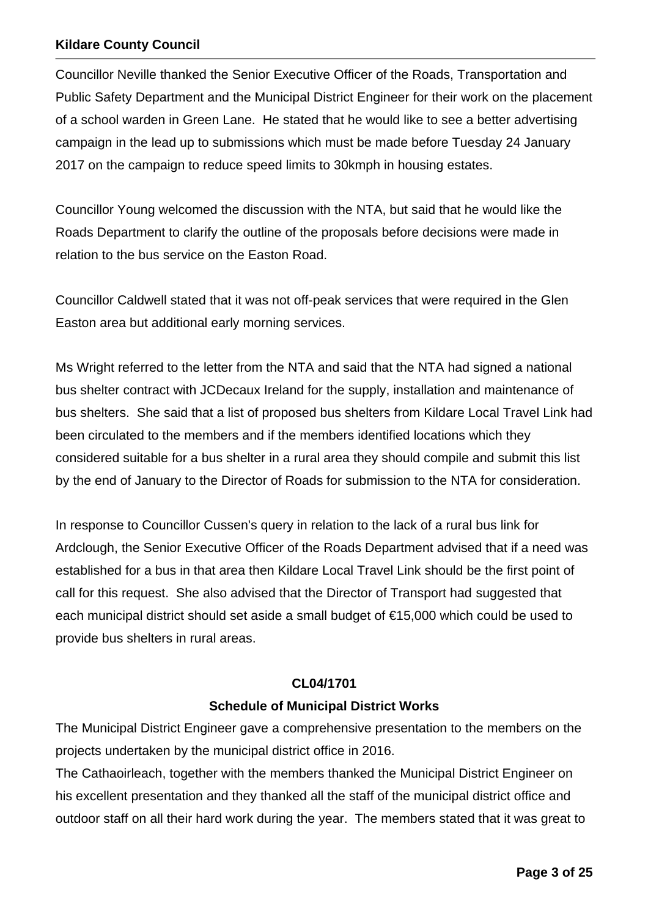Councillor Neville thanked the Senior Executive Officer of the Roads, Transportation and Public Safety Department and the Municipal District Engineer for their work on the placement of a school warden in Green Lane. He stated that he would like to see a better advertising campaign in the lead up to submissions which must be made before Tuesday 24 January 2017 on the campaign to reduce speed limits to 30kmph in housing estates.

Councillor Young welcomed the discussion with the NTA, but said that he would like the Roads Department to clarify the outline of the proposals before decisions were made in relation to the bus service on the Easton Road.

Councillor Caldwell stated that it was not off-peak services that were required in the Glen Easton area but additional early morning services.

Ms Wright referred to the letter from the NTA and said that the NTA had signed a national bus shelter contract with JCDecaux Ireland for the supply, installation and maintenance of bus shelters. She said that a list of proposed bus shelters from Kildare Local Travel Link had been circulated to the members and if the members identified locations which they considered suitable for a bus shelter in a rural area they should compile and submit this list by the end of January to the Director of Roads for submission to the NTA for consideration.

In response to Councillor Cussen's query in relation to the lack of a rural bus link for Ardclough, the Senior Executive Officer of the Roads Department advised that if a need was established for a bus in that area then Kildare Local Travel Link should be the first point of call for this request. She also advised that the Director of Transport had suggested that each municipal district should set aside a small budget of €15,000 which could be used to provide bus shelters in rural areas.

#### **CL04/1701**

#### **Schedule of Municipal District Works**

The Municipal District Engineer gave a comprehensive presentation to the members on the projects undertaken by the municipal district office in 2016.

The Cathaoirleach, together with the members thanked the Municipal District Engineer on his excellent presentation and they thanked all the staff of the municipal district office and outdoor staff on all their hard work during the year. The members stated that it was great to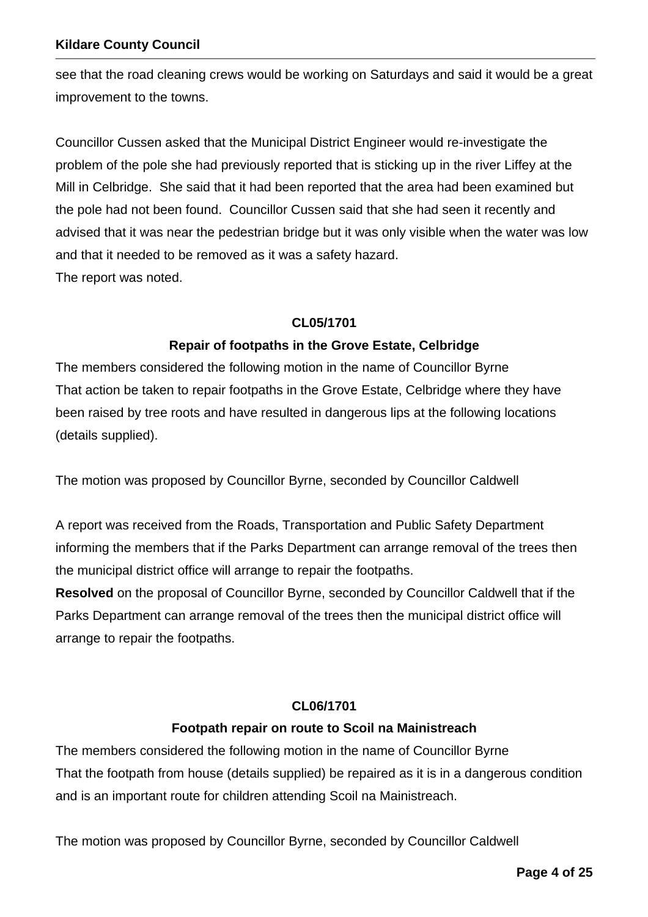see that the road cleaning crews would be working on Saturdays and said it would be a great improvement to the towns.

Councillor Cussen asked that the Municipal District Engineer would re-investigate the problem of the pole she had previously reported that is sticking up in the river Liffey at the Mill in Celbridge. She said that it had been reported that the area had been examined but the pole had not been found. Councillor Cussen said that she had seen it recently and advised that it was near the pedestrian bridge but it was only visible when the water was low and that it needed to be removed as it was a safety hazard. The report was noted.

#### **CL05/1701**

## **Repair of footpaths in the Grove Estate, Celbridge**

The members considered the following motion in the name of Councillor Byrne That action be taken to repair footpaths in the Grove Estate, Celbridge where they have been raised by tree roots and have resulted in dangerous lips at the following locations (details supplied).

The motion was proposed by Councillor Byrne, seconded by Councillor Caldwell

A report was received from the Roads, Transportation and Public Safety Department informing the members that if the Parks Department can arrange removal of the trees then the municipal district office will arrange to repair the footpaths.

**Resolved** on the proposal of Councillor Byrne, seconded by Councillor Caldwell that if the Parks Department can arrange removal of the trees then the municipal district office will arrange to repair the footpaths.

#### **CL06/1701**

#### **Footpath repair on route to Scoil na Mainistreach**

The members considered the following motion in the name of Councillor Byrne That the footpath from house (details supplied) be repaired as it is in a dangerous condition and is an important route for children attending Scoil na Mainistreach.

The motion was proposed by Councillor Byrne, seconded by Councillor Caldwell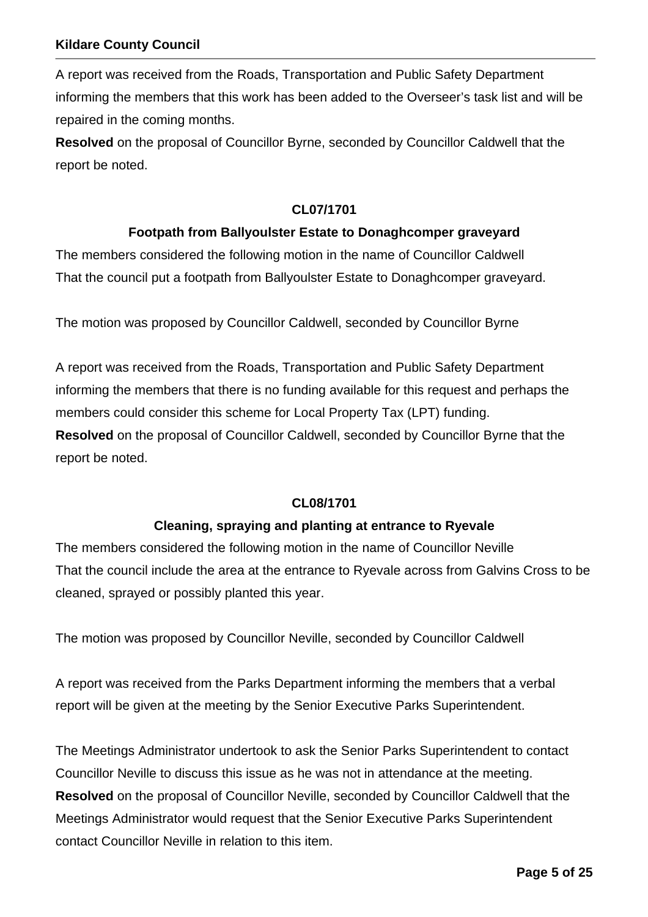A report was received from the Roads, Transportation and Public Safety Department informing the members that this work has been added to the Overseer's task list and will be repaired in the coming months.

**Resolved** on the proposal of Councillor Byrne, seconded by Councillor Caldwell that the report be noted.

#### **CL07/1701**

#### **Footpath from Ballyoulster Estate to Donaghcomper graveyard**

The members considered the following motion in the name of Councillor Caldwell That the council put a footpath from Ballyoulster Estate to Donaghcomper graveyard.

The motion was proposed by Councillor Caldwell, seconded by Councillor Byrne

A report was received from the Roads, Transportation and Public Safety Department informing the members that there is no funding available for this request and perhaps the members could consider this scheme for Local Property Tax (LPT) funding. **Resolved** on the proposal of Councillor Caldwell, seconded by Councillor Byrne that the report be noted.

#### **CL08/1701**

#### **Cleaning, spraying and planting at entrance to Ryevale**

The members considered the following motion in the name of Councillor Neville That the council include the area at the entrance to Ryevale across from Galvins Cross to be cleaned, sprayed or possibly planted this year.

The motion was proposed by Councillor Neville, seconded by Councillor Caldwell

A report was received from the Parks Department informing the members that a verbal report will be given at the meeting by the Senior Executive Parks Superintendent.

The Meetings Administrator undertook to ask the Senior Parks Superintendent to contact Councillor Neville to discuss this issue as he was not in attendance at the meeting. **Resolved** on the proposal of Councillor Neville, seconded by Councillor Caldwell that the Meetings Administrator would request that the Senior Executive Parks Superintendent contact Councillor Neville in relation to this item.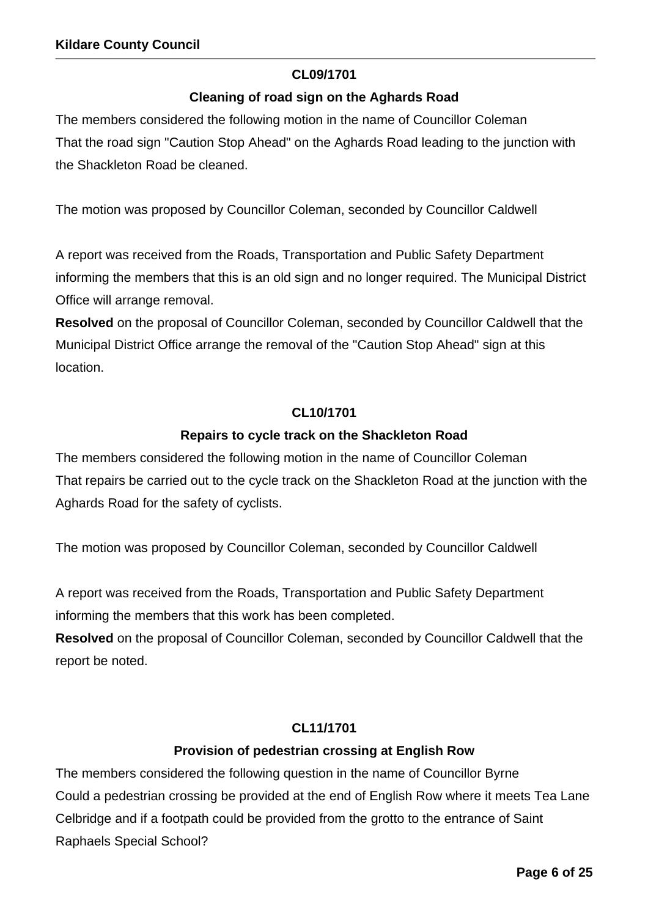## **CL09/1701**

## **Cleaning of road sign on the Aghards Road**

The members considered the following motion in the name of Councillor Coleman That the road sign "Caution Stop Ahead" on the Aghards Road leading to the junction with the Shackleton Road be cleaned.

The motion was proposed by Councillor Coleman, seconded by Councillor Caldwell

A report was received from the Roads, Transportation and Public Safety Department informing the members that this is an old sign and no longer required. The Municipal District Office will arrange removal.

**Resolved** on the proposal of Councillor Coleman, seconded by Councillor Caldwell that the Municipal District Office arrange the removal of the "Caution Stop Ahead" sign at this location.

#### **CL10/1701**

#### **Repairs to cycle track on the Shackleton Road**

The members considered the following motion in the name of Councillor Coleman That repairs be carried out to the cycle track on the Shackleton Road at the junction with the Aghards Road for the safety of cyclists.

The motion was proposed by Councillor Coleman, seconded by Councillor Caldwell

A report was received from the Roads, Transportation and Public Safety Department informing the members that this work has been completed.

**Resolved** on the proposal of Councillor Coleman, seconded by Councillor Caldwell that the report be noted.

#### **CL11/1701**

# **Provision of pedestrian crossing at English Row**

The members considered the following question in the name of Councillor Byrne Could a pedestrian crossing be provided at the end of English Row where it meets Tea Lane Celbridge and if a footpath could be provided from the grotto to the entrance of Saint Raphaels Special School?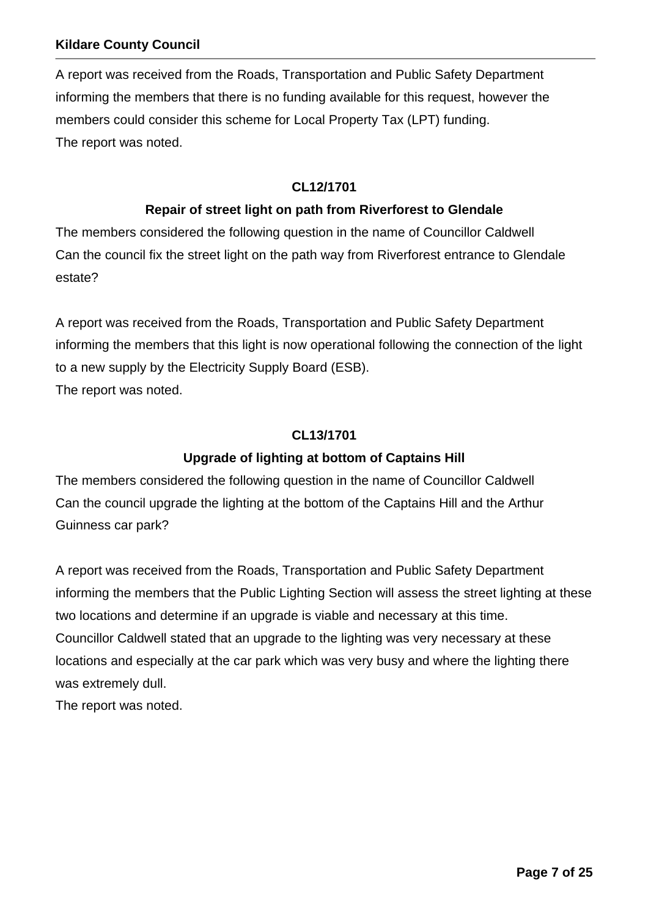A report was received from the Roads, Transportation and Public Safety Department informing the members that there is no funding available for this request, however the members could consider this scheme for Local Property Tax (LPT) funding. The report was noted.

#### **CL12/1701**

#### **Repair of street light on path from Riverforest to Glendale**

The members considered the following question in the name of Councillor Caldwell Can the council fix the street light on the path way from Riverforest entrance to Glendale estate?

A report was received from the Roads, Transportation and Public Safety Department informing the members that this light is now operational following the connection of the light to a new supply by the Electricity Supply Board (ESB). The report was noted.

#### **CL13/1701**

#### **Upgrade of lighting at bottom of Captains Hill**

The members considered the following question in the name of Councillor Caldwell Can the council upgrade the lighting at the bottom of the Captains Hill and the Arthur Guinness car park?

A report was received from the Roads, Transportation and Public Safety Department informing the members that the Public Lighting Section will assess the street lighting at these two locations and determine if an upgrade is viable and necessary at this time. Councillor Caldwell stated that an upgrade to the lighting was very necessary at these locations and especially at the car park which was very busy and where the lighting there was extremely dull.

The report was noted.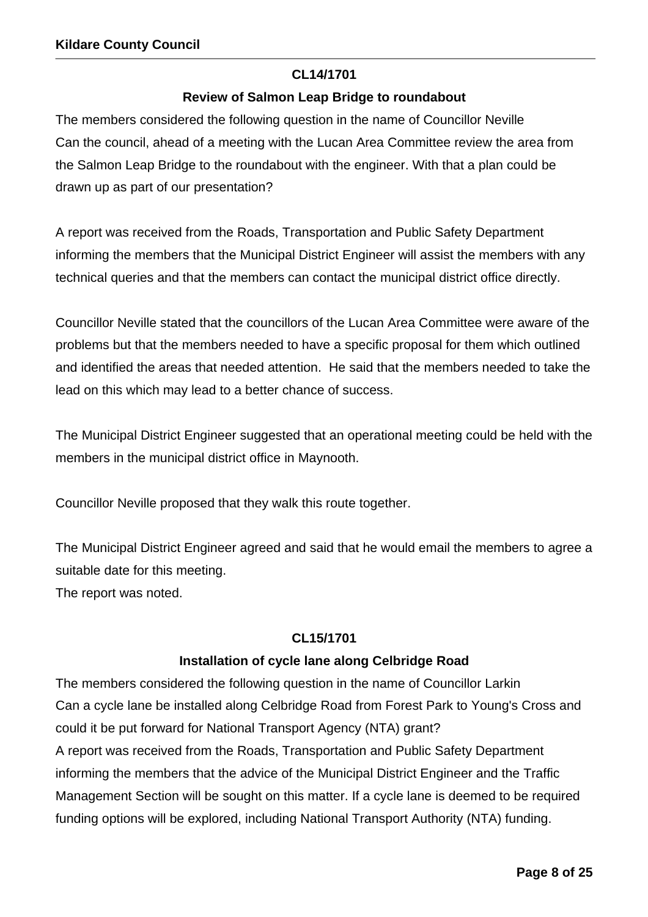## **CL14/1701**

## **Review of Salmon Leap Bridge to roundabout**

The members considered the following question in the name of Councillor Neville Can the council, ahead of a meeting with the Lucan Area Committee review the area from the Salmon Leap Bridge to the roundabout with the engineer. With that a plan could be drawn up as part of our presentation?

A report was received from the Roads, Transportation and Public Safety Department informing the members that the Municipal District Engineer will assist the members with any technical queries and that the members can contact the municipal district office directly.

Councillor Neville stated that the councillors of the Lucan Area Committee were aware of the problems but that the members needed to have a specific proposal for them which outlined and identified the areas that needed attention. He said that the members needed to take the lead on this which may lead to a better chance of success.

The Municipal District Engineer suggested that an operational meeting could be held with the members in the municipal district office in Maynooth.

Councillor Neville proposed that they walk this route together.

The Municipal District Engineer agreed and said that he would email the members to agree a suitable date for this meeting.

The report was noted.

# **CL15/1701**

# **Installation of cycle lane along Celbridge Road**

The members considered the following question in the name of Councillor Larkin Can a cycle lane be installed along Celbridge Road from Forest Park to Young's Cross and could it be put forward for National Transport Agency (NTA) grant? A report was received from the Roads, Transportation and Public Safety Department informing the members that the advice of the Municipal District Engineer and the Traffic Management Section will be sought on this matter. If a cycle lane is deemed to be required funding options will be explored, including National Transport Authority (NTA) funding.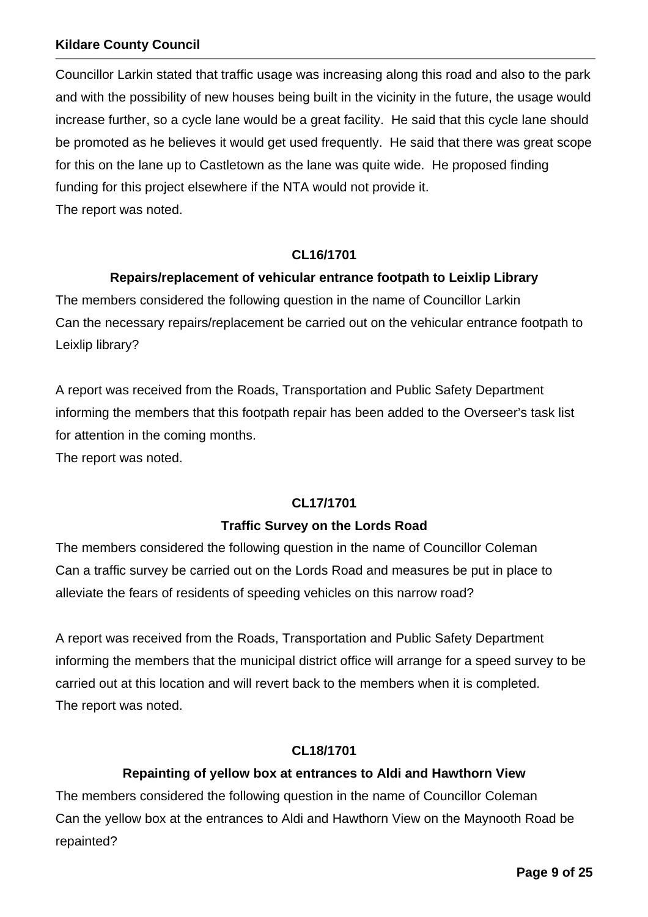Councillor Larkin stated that traffic usage was increasing along this road and also to the park and with the possibility of new houses being built in the vicinity in the future, the usage would increase further, so a cycle lane would be a great facility. He said that this cycle lane should be promoted as he believes it would get used frequently. He said that there was great scope for this on the lane up to Castletown as the lane was quite wide. He proposed finding funding for this project elsewhere if the NTA would not provide it. The report was noted.

## **CL16/1701**

## **Repairs/replacement of vehicular entrance footpath to Leixlip Library**

The members considered the following question in the name of Councillor Larkin Can the necessary repairs/replacement be carried out on the vehicular entrance footpath to Leixlip library?

A report was received from the Roads, Transportation and Public Safety Department informing the members that this footpath repair has been added to the Overseer's task list for attention in the coming months.

The report was noted.

# **CL17/1701**

#### **Traffic Survey on the Lords Road**

The members considered the following question in the name of Councillor Coleman Can a traffic survey be carried out on the Lords Road and measures be put in place to alleviate the fears of residents of speeding vehicles on this narrow road?

A report was received from the Roads, Transportation and Public Safety Department informing the members that the municipal district office will arrange for a speed survey to be carried out at this location and will revert back to the members when it is completed. The report was noted.

# **CL18/1701**

# **Repainting of yellow box at entrances to Aldi and Hawthorn View**

The members considered the following question in the name of Councillor Coleman Can the yellow box at the entrances to Aldi and Hawthorn View on the Maynooth Road be repainted?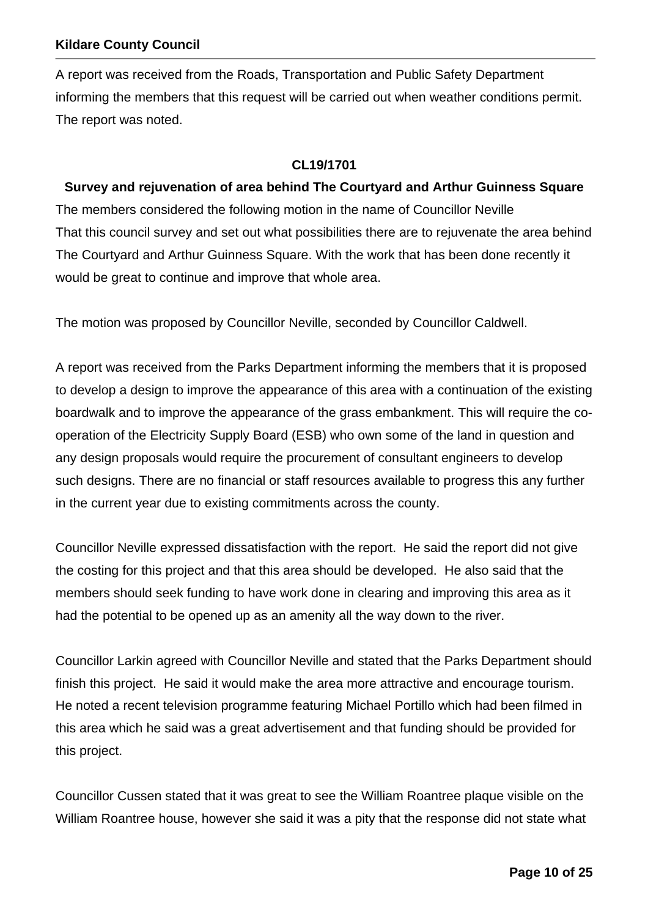A report was received from the Roads, Transportation and Public Safety Department informing the members that this request will be carried out when weather conditions permit. The report was noted.

#### **CL19/1701**

**Survey and rejuvenation of area behind The Courtyard and Arthur Guinness Square**  The members considered the following motion in the name of Councillor Neville That this council survey and set out what possibilities there are to rejuvenate the area behind The Courtyard and Arthur Guinness Square. With the work that has been done recently it would be great to continue and improve that whole area.

The motion was proposed by Councillor Neville, seconded by Councillor Caldwell.

A report was received from the Parks Department informing the members that it is proposed to develop a design to improve the appearance of this area with a continuation of the existing boardwalk and to improve the appearance of the grass embankment. This will require the cooperation of the Electricity Supply Board (ESB) who own some of the land in question and any design proposals would require the procurement of consultant engineers to develop such designs. There are no financial or staff resources available to progress this any further in the current year due to existing commitments across the county.

Councillor Neville expressed dissatisfaction with the report. He said the report did not give the costing for this project and that this area should be developed. He also said that the members should seek funding to have work done in clearing and improving this area as it had the potential to be opened up as an amenity all the way down to the river.

Councillor Larkin agreed with Councillor Neville and stated that the Parks Department should finish this project. He said it would make the area more attractive and encourage tourism. He noted a recent television programme featuring Michael Portillo which had been filmed in this area which he said was a great advertisement and that funding should be provided for this project.

Councillor Cussen stated that it was great to see the William Roantree plaque visible on the William Roantree house, however she said it was a pity that the response did not state what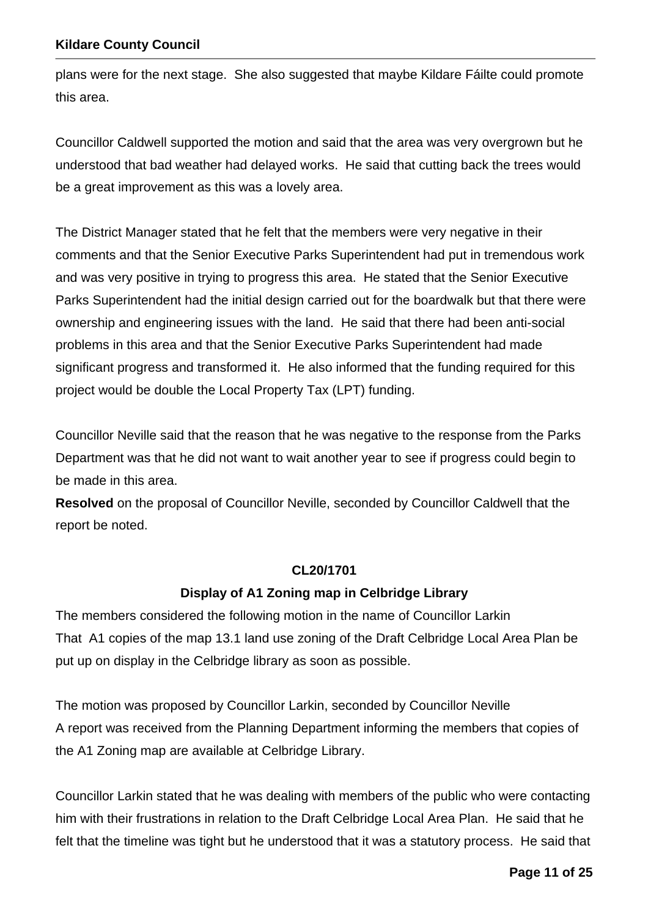plans were for the next stage. She also suggested that maybe Kildare Fáilte could promote this area.

Councillor Caldwell supported the motion and said that the area was very overgrown but he understood that bad weather had delayed works. He said that cutting back the trees would be a great improvement as this was a lovely area.

The District Manager stated that he felt that the members were very negative in their comments and that the Senior Executive Parks Superintendent had put in tremendous work and was very positive in trying to progress this area. He stated that the Senior Executive Parks Superintendent had the initial design carried out for the boardwalk but that there were ownership and engineering issues with the land. He said that there had been anti-social problems in this area and that the Senior Executive Parks Superintendent had made significant progress and transformed it. He also informed that the funding required for this project would be double the Local Property Tax (LPT) funding.

Councillor Neville said that the reason that he was negative to the response from the Parks Department was that he did not want to wait another year to see if progress could begin to be made in this area.

**Resolved** on the proposal of Councillor Neville, seconded by Councillor Caldwell that the report be noted.

#### **CL20/1701**

#### **Display of A1 Zoning map in Celbridge Library**

The members considered the following motion in the name of Councillor Larkin That A1 copies of the map 13.1 land use zoning of the Draft Celbridge Local Area Plan be put up on display in the Celbridge library as soon as possible.

The motion was proposed by Councillor Larkin, seconded by Councillor Neville A report was received from the Planning Department informing the members that copies of the A1 Zoning map are available at Celbridge Library.

Councillor Larkin stated that he was dealing with members of the public who were contacting him with their frustrations in relation to the Draft Celbridge Local Area Plan. He said that he felt that the timeline was tight but he understood that it was a statutory process. He said that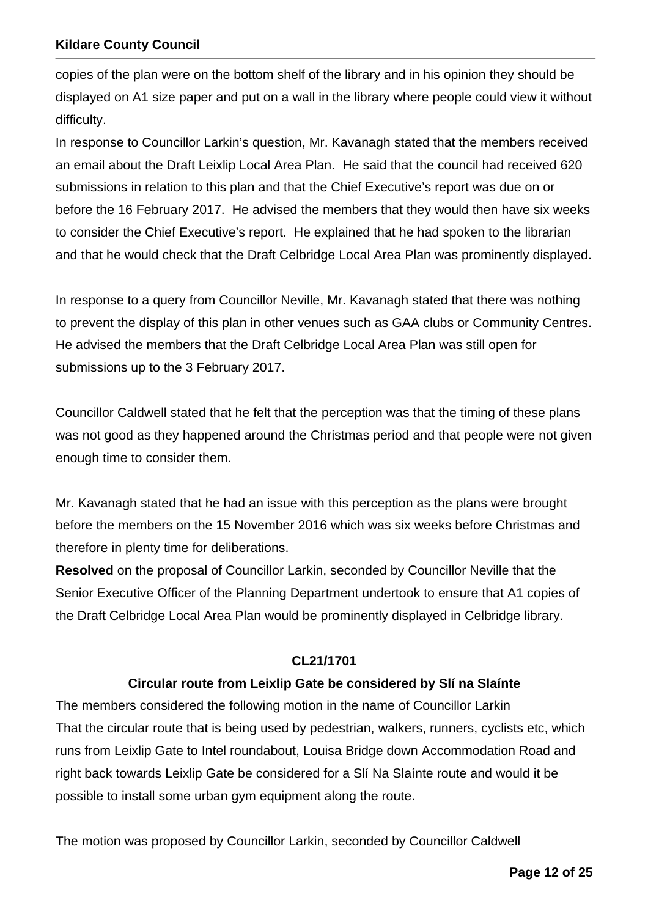copies of the plan were on the bottom shelf of the library and in his opinion they should be displayed on A1 size paper and put on a wall in the library where people could view it without difficulty.

In response to Councillor Larkin's question, Mr. Kavanagh stated that the members received an email about the Draft Leixlip Local Area Plan. He said that the council had received 620 submissions in relation to this plan and that the Chief Executive's report was due on or before the 16 February 2017. He advised the members that they would then have six weeks to consider the Chief Executive's report. He explained that he had spoken to the librarian and that he would check that the Draft Celbridge Local Area Plan was prominently displayed.

In response to a query from Councillor Neville, Mr. Kavanagh stated that there was nothing to prevent the display of this plan in other venues such as GAA clubs or Community Centres. He advised the members that the Draft Celbridge Local Area Plan was still open for submissions up to the 3 February 2017.

Councillor Caldwell stated that he felt that the perception was that the timing of these plans was not good as they happened around the Christmas period and that people were not given enough time to consider them.

Mr. Kavanagh stated that he had an issue with this perception as the plans were brought before the members on the 15 November 2016 which was six weeks before Christmas and therefore in plenty time for deliberations.

**Resolved** on the proposal of Councillor Larkin, seconded by Councillor Neville that the Senior Executive Officer of the Planning Department undertook to ensure that A1 copies of the Draft Celbridge Local Area Plan would be prominently displayed in Celbridge library.

#### **CL21/1701**

#### **Circular route from Leixlip Gate be considered by Slí na Slaínte**

The members considered the following motion in the name of Councillor Larkin That the circular route that is being used by pedestrian, walkers, runners, cyclists etc, which runs from Leixlip Gate to Intel roundabout, Louisa Bridge down Accommodation Road and right back towards Leixlip Gate be considered for a Slí Na Slaínte route and would it be possible to install some urban gym equipment along the route.

The motion was proposed by Councillor Larkin, seconded by Councillor Caldwell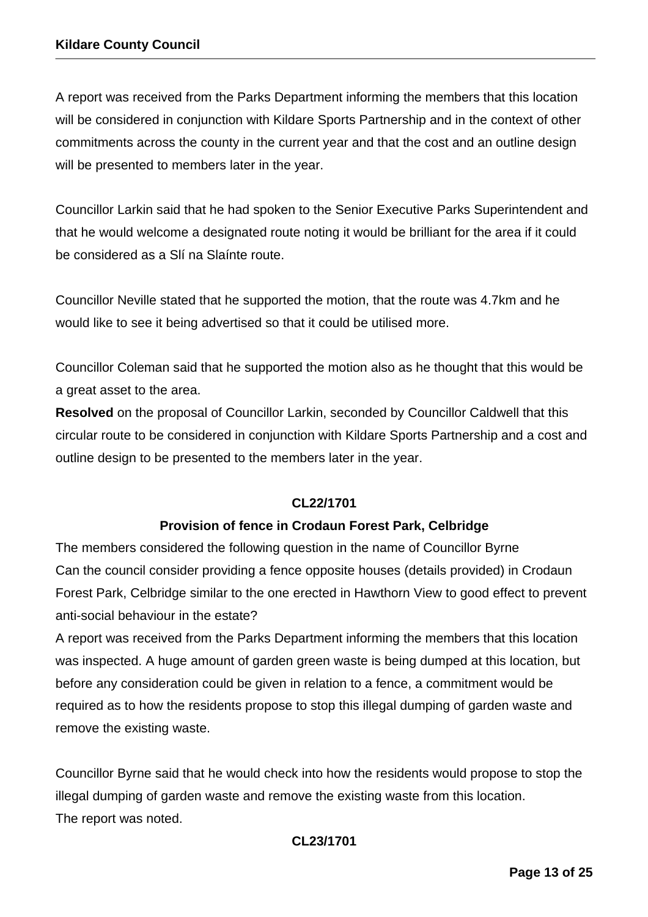A report was received from the Parks Department informing the members that this location will be considered in conjunction with Kildare Sports Partnership and in the context of other commitments across the county in the current year and that the cost and an outline design will be presented to members later in the year.

Councillor Larkin said that he had spoken to the Senior Executive Parks Superintendent and that he would welcome a designated route noting it would be brilliant for the area if it could be considered as a Slí na Slaínte route.

Councillor Neville stated that he supported the motion, that the route was 4.7km and he would like to see it being advertised so that it could be utilised more.

Councillor Coleman said that he supported the motion also as he thought that this would be a great asset to the area.

**Resolved** on the proposal of Councillor Larkin, seconded by Councillor Caldwell that this circular route to be considered in conjunction with Kildare Sports Partnership and a cost and outline design to be presented to the members later in the year.

# **CL22/1701**

# **Provision of fence in Crodaun Forest Park, Celbridge**

The members considered the following question in the name of Councillor Byrne Can the council consider providing a fence opposite houses (details provided) in Crodaun Forest Park, Celbridge similar to the one erected in Hawthorn View to good effect to prevent anti-social behaviour in the estate?

A report was received from the Parks Department informing the members that this location was inspected. A huge amount of garden green waste is being dumped at this location, but before any consideration could be given in relation to a fence, a commitment would be required as to how the residents propose to stop this illegal dumping of garden waste and remove the existing waste.

Councillor Byrne said that he would check into how the residents would propose to stop the illegal dumping of garden waste and remove the existing waste from this location. The report was noted.

# **CL23/1701**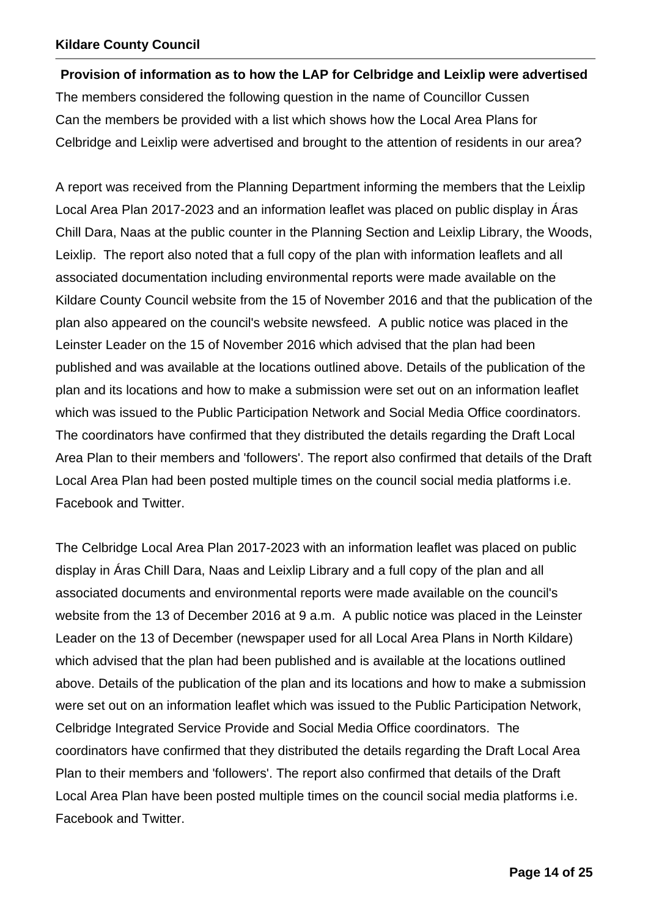**Provision of information as to how the LAP for Celbridge and Leixlip were advertised**  The members considered the following question in the name of Councillor Cussen Can the members be provided with a list which shows how the Local Area Plans for Celbridge and Leixlip were advertised and brought to the attention of residents in our area?

A report was received from the Planning Department informing the members that the Leixlip Local Area Plan 2017-2023 and an information leaflet was placed on public display in Áras Chill Dara, Naas at the public counter in the Planning Section and Leixlip Library, the Woods, Leixlip. The report also noted that a full copy of the plan with information leaflets and all associated documentation including environmental reports were made available on the Kildare County Council website from the 15 of November 2016 and that the publication of the plan also appeared on the council's website newsfeed. A public notice was placed in the Leinster Leader on the 15 of November 2016 which advised that the plan had been published and was available at the locations outlined above. Details of the publication of the plan and its locations and how to make a submission were set out on an information leaflet which was issued to the Public Participation Network and Social Media Office coordinators. The coordinators have confirmed that they distributed the details regarding the Draft Local Area Plan to their members and 'followers'. The report also confirmed that details of the Draft Local Area Plan had been posted multiple times on the council social media platforms i.e. Facebook and Twitter.

The Celbridge Local Area Plan 2017-2023 with an information leaflet was placed on public display in Áras Chill Dara, Naas and Leixlip Library and a full copy of the plan and all associated documents and environmental reports were made available on the council's website from the 13 of December 2016 at 9 a.m. A public notice was placed in the Leinster Leader on the 13 of December (newspaper used for all Local Area Plans in North Kildare) which advised that the plan had been published and is available at the locations outlined above. Details of the publication of the plan and its locations and how to make a submission were set out on an information leaflet which was issued to the Public Participation Network, Celbridge Integrated Service Provide and Social Media Office coordinators. The coordinators have confirmed that they distributed the details regarding the Draft Local Area Plan to their members and 'followers'. The report also confirmed that details of the Draft Local Area Plan have been posted multiple times on the council social media platforms i.e. Facebook and Twitter.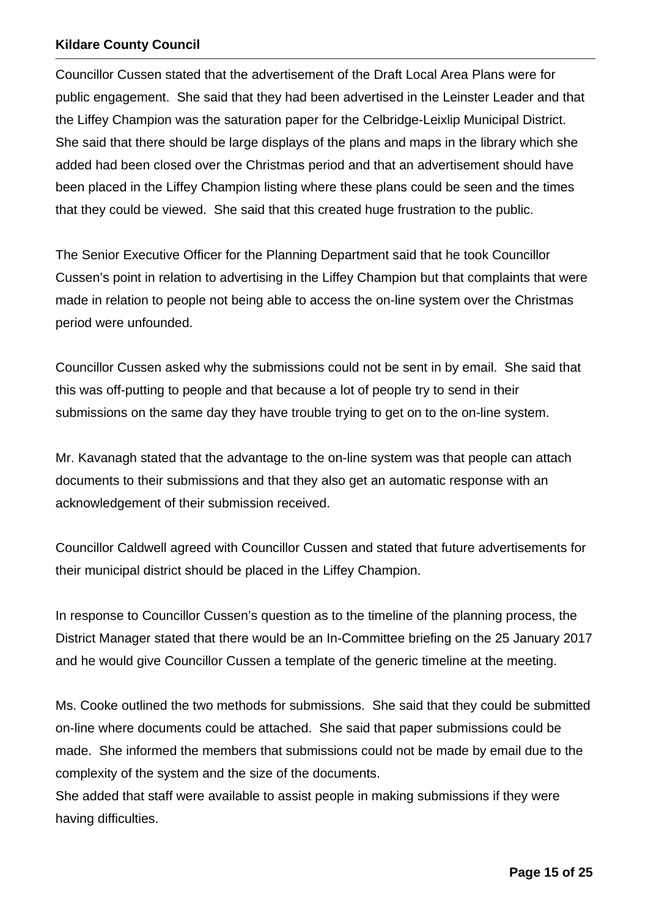Councillor Cussen stated that the advertisement of the Draft Local Area Plans were for public engagement. She said that they had been advertised in the Leinster Leader and that the Liffey Champion was the saturation paper for the Celbridge-Leixlip Municipal District. She said that there should be large displays of the plans and maps in the library which she added had been closed over the Christmas period and that an advertisement should have been placed in the Liffey Champion listing where these plans could be seen and the times that they could be viewed. She said that this created huge frustration to the public.

The Senior Executive Officer for the Planning Department said that he took Councillor Cussen's point in relation to advertising in the Liffey Champion but that complaints that were made in relation to people not being able to access the on-line system over the Christmas period were unfounded.

Councillor Cussen asked why the submissions could not be sent in by email. She said that this was off-putting to people and that because a lot of people try to send in their submissions on the same day they have trouble trying to get on to the on-line system.

Mr. Kavanagh stated that the advantage to the on-line system was that people can attach documents to their submissions and that they also get an automatic response with an acknowledgement of their submission received.

Councillor Caldwell agreed with Councillor Cussen and stated that future advertisements for their municipal district should be placed in the Liffey Champion.

In response to Councillor Cussen's question as to the timeline of the planning process, the District Manager stated that there would be an In-Committee briefing on the 25 January 2017 and he would give Councillor Cussen a template of the generic timeline at the meeting.

Ms. Cooke outlined the two methods for submissions. She said that they could be submitted on-line where documents could be attached. She said that paper submissions could be made. She informed the members that submissions could not be made by email due to the complexity of the system and the size of the documents.

She added that staff were available to assist people in making submissions if they were having difficulties.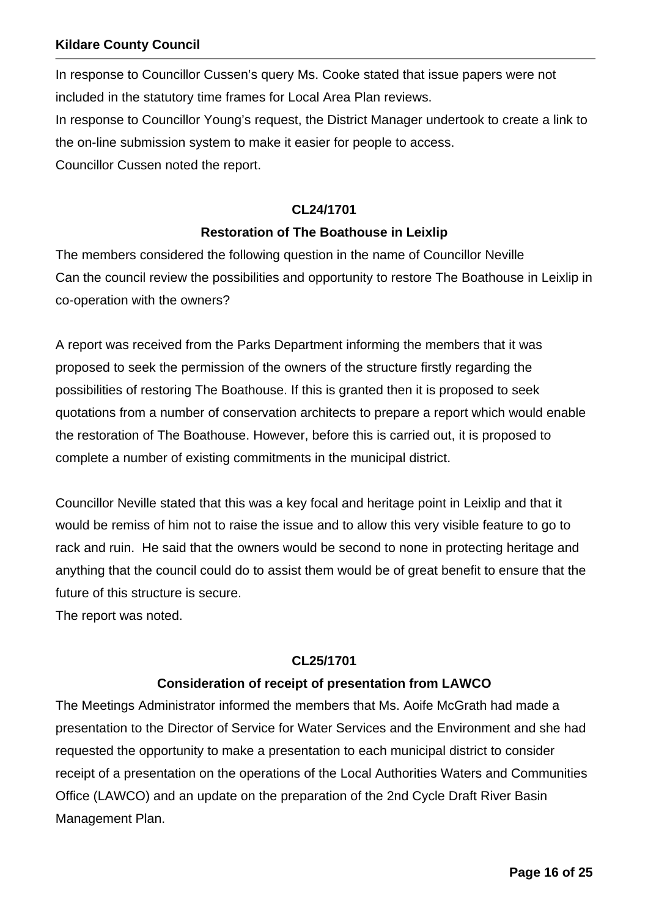In response to Councillor Cussen's query Ms. Cooke stated that issue papers were not included in the statutory time frames for Local Area Plan reviews. In response to Councillor Young's request, the District Manager undertook to create a link to the on-line submission system to make it easier for people to access. Councillor Cussen noted the report.

#### **CL24/1701**

#### **Restoration of The Boathouse in Leixlip**

The members considered the following question in the name of Councillor Neville Can the council review the possibilities and opportunity to restore The Boathouse in Leixlip in co-operation with the owners?

A report was received from the Parks Department informing the members that it was proposed to seek the permission of the owners of the structure firstly regarding the possibilities of restoring The Boathouse. If this is granted then it is proposed to seek quotations from a number of conservation architects to prepare a report which would enable the restoration of The Boathouse. However, before this is carried out, it is proposed to complete a number of existing commitments in the municipal district.

Councillor Neville stated that this was a key focal and heritage point in Leixlip and that it would be remiss of him not to raise the issue and to allow this very visible feature to go to rack and ruin. He said that the owners would be second to none in protecting heritage and anything that the council could do to assist them would be of great benefit to ensure that the future of this structure is secure.

The report was noted.

#### **CL25/1701**

#### **Consideration of receipt of presentation from LAWCO**

The Meetings Administrator informed the members that Ms. Aoife McGrath had made a presentation to the Director of Service for Water Services and the Environment and she had requested the opportunity to make a presentation to each municipal district to consider receipt of a presentation on the operations of the Local Authorities Waters and Communities Office (LAWCO) and an update on the preparation of the 2nd Cycle Draft River Basin Management Plan.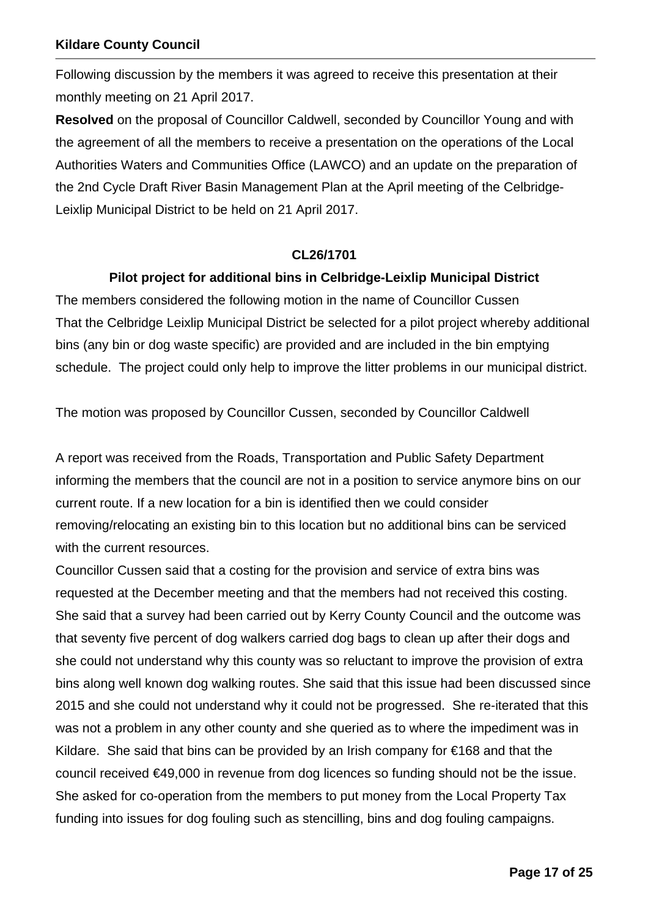Following discussion by the members it was agreed to receive this presentation at their monthly meeting on 21 April 2017.

**Resolved** on the proposal of Councillor Caldwell, seconded by Councillor Young and with the agreement of all the members to receive a presentation on the operations of the Local Authorities Waters and Communities Office (LAWCO) and an update on the preparation of the 2nd Cycle Draft River Basin Management Plan at the April meeting of the Celbridge-Leixlip Municipal District to be held on 21 April 2017.

#### **CL26/1701**

#### **Pilot project for additional bins in Celbridge-Leixlip Municipal District**

The members considered the following motion in the name of Councillor Cussen That the Celbridge Leixlip Municipal District be selected for a pilot project whereby additional bins (any bin or dog waste specific) are provided and are included in the bin emptying schedule. The project could only help to improve the litter problems in our municipal district.

The motion was proposed by Councillor Cussen, seconded by Councillor Caldwell

A report was received from the Roads, Transportation and Public Safety Department informing the members that the council are not in a position to service anymore bins on our current route. If a new location for a bin is identified then we could consider removing/relocating an existing bin to this location but no additional bins can be serviced with the current resources.

Councillor Cussen said that a costing for the provision and service of extra bins was requested at the December meeting and that the members had not received this costing. She said that a survey had been carried out by Kerry County Council and the outcome was that seventy five percent of dog walkers carried dog bags to clean up after their dogs and she could not understand why this county was so reluctant to improve the provision of extra bins along well known dog walking routes. She said that this issue had been discussed since 2015 and she could not understand why it could not be progressed. She re-iterated that this was not a problem in any other county and she queried as to where the impediment was in Kildare. She said that bins can be provided by an Irish company for €168 and that the council received €49,000 in revenue from dog licences so funding should not be the issue. She asked for co-operation from the members to put money from the Local Property Tax funding into issues for dog fouling such as stencilling, bins and dog fouling campaigns.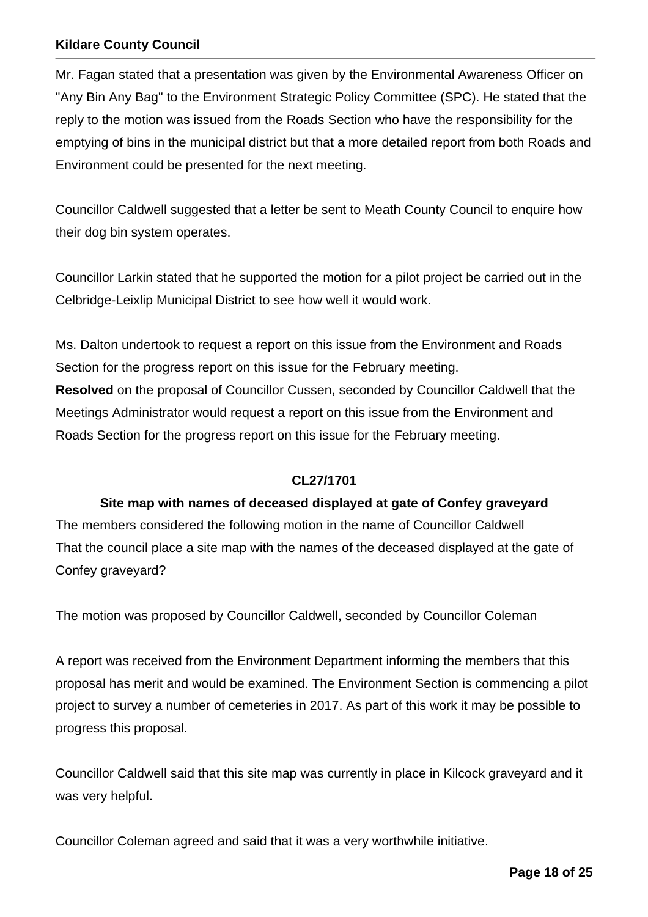Mr. Fagan stated that a presentation was given by the Environmental Awareness Officer on "Any Bin Any Bag" to the Environment Strategic Policy Committee (SPC). He stated that the reply to the motion was issued from the Roads Section who have the responsibility for the emptying of bins in the municipal district but that a more detailed report from both Roads and Environment could be presented for the next meeting.

Councillor Caldwell suggested that a letter be sent to Meath County Council to enquire how their dog bin system operates.

Councillor Larkin stated that he supported the motion for a pilot project be carried out in the Celbridge-Leixlip Municipal District to see how well it would work.

Ms. Dalton undertook to request a report on this issue from the Environment and Roads Section for the progress report on this issue for the February meeting. **Resolved** on the proposal of Councillor Cussen, seconded by Councillor Caldwell that the Meetings Administrator would request a report on this issue from the Environment and Roads Section for the progress report on this issue for the February meeting.

# **CL27/1701**

# **Site map with names of deceased displayed at gate of Confey graveyard**

The members considered the following motion in the name of Councillor Caldwell That the council place a site map with the names of the deceased displayed at the gate of Confey graveyard?

The motion was proposed by Councillor Caldwell, seconded by Councillor Coleman

A report was received from the Environment Department informing the members that this proposal has merit and would be examined. The Environment Section is commencing a pilot project to survey a number of cemeteries in 2017. As part of this work it may be possible to progress this proposal.

Councillor Caldwell said that this site map was currently in place in Kilcock graveyard and it was very helpful.

Councillor Coleman agreed and said that it was a very worthwhile initiative.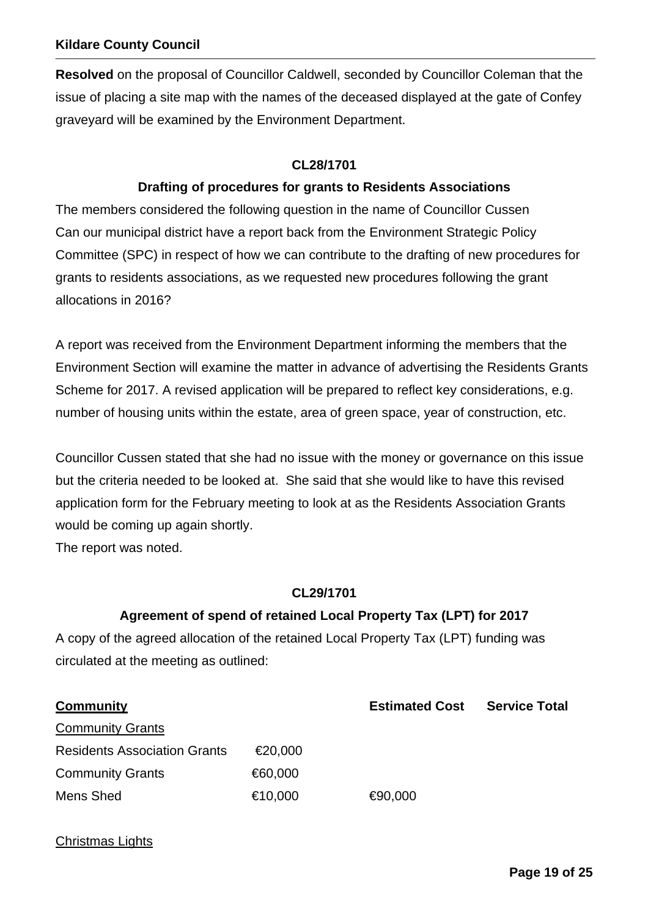**Resolved** on the proposal of Councillor Caldwell, seconded by Councillor Coleman that the issue of placing a site map with the names of the deceased displayed at the gate of Confey graveyard will be examined by the Environment Department.

#### **CL28/1701**

#### **Drafting of procedures for grants to Residents Associations**

The members considered the following question in the name of Councillor Cussen Can our municipal district have a report back from the Environment Strategic Policy Committee (SPC) in respect of how we can contribute to the drafting of new procedures for grants to residents associations, as we requested new procedures following the grant allocations in 2016?

A report was received from the Environment Department informing the members that the Environment Section will examine the matter in advance of advertising the Residents Grants Scheme for 2017. A revised application will be prepared to reflect key considerations, e.g. number of housing units within the estate, area of green space, year of construction, etc.

Councillor Cussen stated that she had no issue with the money or governance on this issue but the criteria needed to be looked at. She said that she would like to have this revised application form for the February meeting to look at as the Residents Association Grants would be coming up again shortly.

The report was noted.

# **CL29/1701**

# **Agreement of spend of retained Local Property Tax (LPT) for 2017**

A copy of the agreed allocation of the retained Local Property Tax (LPT) funding was circulated at the meeting as outlined:

| <b>Community</b>                    |         | <b>Estimated Cost</b> | <b>Service Total</b> |
|-------------------------------------|---------|-----------------------|----------------------|
| <b>Community Grants</b>             |         |                       |                      |
| <b>Residents Association Grants</b> | €20,000 |                       |                      |
| <b>Community Grants</b>             | €60,000 |                       |                      |
| Mens Shed                           | €10,000 | €90,000               |                      |

#### Christmas Lights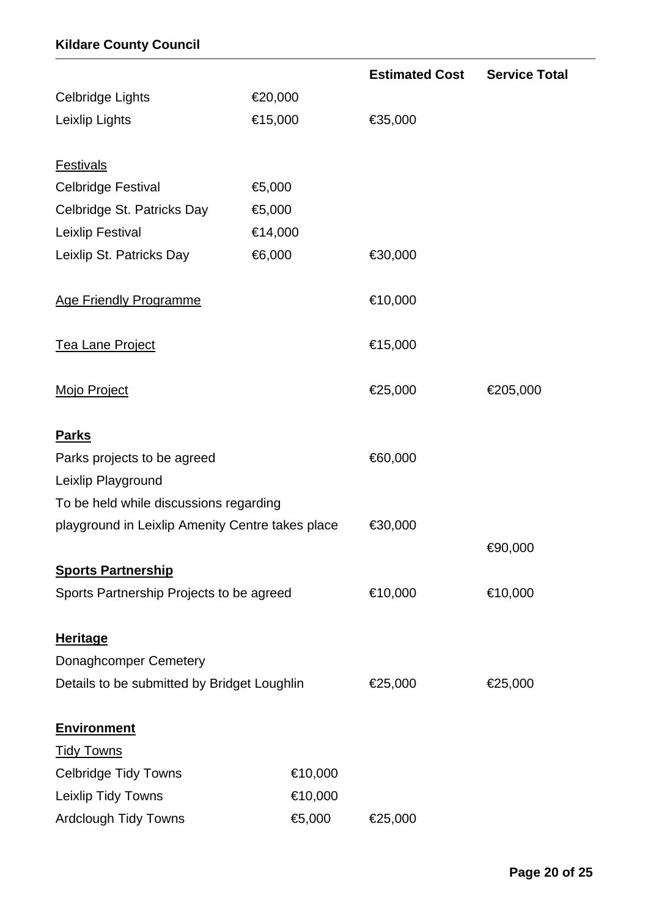|                                                  |         | <b>Estimated Cost</b> | <b>Service Total</b> |
|--------------------------------------------------|---------|-----------------------|----------------------|
| <b>Celbridge Lights</b>                          | €20,000 |                       |                      |
| Leixlip Lights                                   | €15,000 | €35,000               |                      |
| <b>Festivals</b>                                 |         |                       |                      |
| <b>Celbridge Festival</b>                        | €5,000  |                       |                      |
| Celbridge St. Patricks Day                       | €5,000  |                       |                      |
| <b>Leixlip Festival</b>                          | €14,000 |                       |                      |
| Leixlip St. Patricks Day                         | €6,000  | €30,000               |                      |
|                                                  |         |                       |                      |
| <b>Age Friendly Programme</b>                    |         | €10,000               |                      |
| <b>Tea Lane Project</b>                          |         | €15,000               |                      |
| Mojo Project                                     |         | €25,000               | €205,000             |
| <b>Parks</b>                                     |         |                       |                      |
| Parks projects to be agreed                      |         | €60,000               |                      |
| Leixlip Playground                               |         |                       |                      |
| To be held while discussions regarding           |         |                       |                      |
| playground in Leixlip Amenity Centre takes place |         | €30,000               |                      |
|                                                  |         |                       | €90,000              |
| <b>Sports Partnership</b>                        |         |                       |                      |
| Sports Partnership Projects to be agreed         |         | €10,000               | €10,000              |
| <b>Heritage</b>                                  |         |                       |                      |
| Donaghcomper Cemetery                            |         |                       |                      |
| Details to be submitted by Bridget Loughlin      | €25,000 | €25,000               |                      |
| <b>Environment</b>                               |         |                       |                      |
| <u>Tidy Towns</u>                                |         |                       |                      |
| <b>Celbridge Tidy Towns</b>                      | €10,000 |                       |                      |
| Leixlip Tidy Towns                               | €10,000 |                       |                      |
| <b>Ardclough Tidy Towns</b>                      | €5,000  | €25,000               |                      |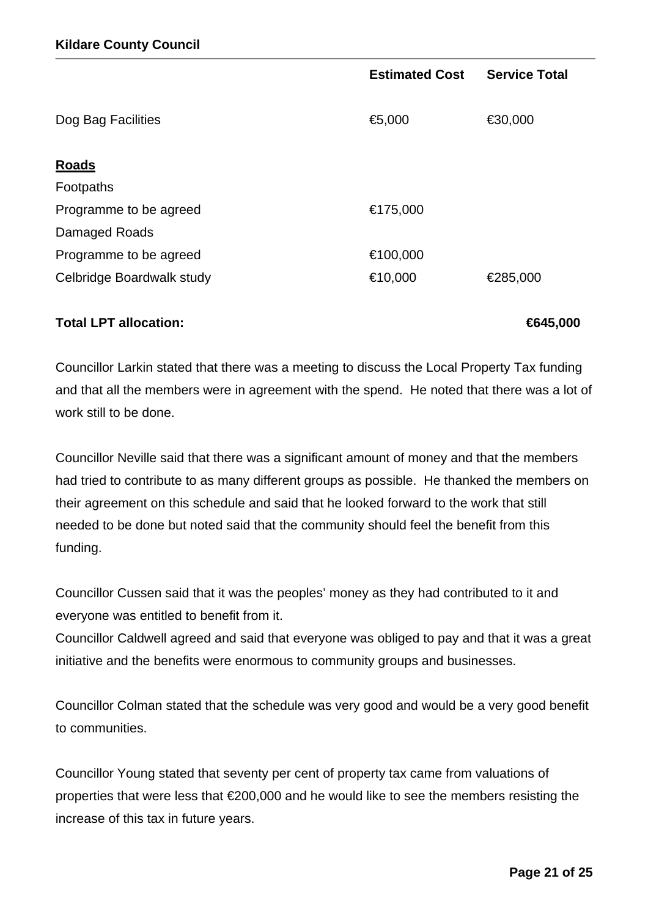|                           | <b>Estimated Cost</b> | <b>Service Total</b> |
|---------------------------|-----------------------|----------------------|
| Dog Bag Facilities        | €5,000                | €30,000              |
| <b>Roads</b>              |                       |                      |
| Footpaths                 |                       |                      |
| Programme to be agreed    | €175,000              |                      |
| Damaged Roads             |                       |                      |
| Programme to be agreed    | €100,000              |                      |
| Celbridge Boardwalk study | €10,000               | €285,000             |

# **Total LPT allocation: €645,000**

Councillor Larkin stated that there was a meeting to discuss the Local Property Tax funding and that all the members were in agreement with the spend. He noted that there was a lot of work still to be done.

Councillor Neville said that there was a significant amount of money and that the members had tried to contribute to as many different groups as possible. He thanked the members on their agreement on this schedule and said that he looked forward to the work that still needed to be done but noted said that the community should feel the benefit from this funding.

Councillor Cussen said that it was the peoples' money as they had contributed to it and everyone was entitled to benefit from it.

Councillor Caldwell agreed and said that everyone was obliged to pay and that it was a great initiative and the benefits were enormous to community groups and businesses.

Councillor Colman stated that the schedule was very good and would be a very good benefit to communities.

Councillor Young stated that seventy per cent of property tax came from valuations of properties that were less that €200,000 and he would like to see the members resisting the increase of this tax in future years.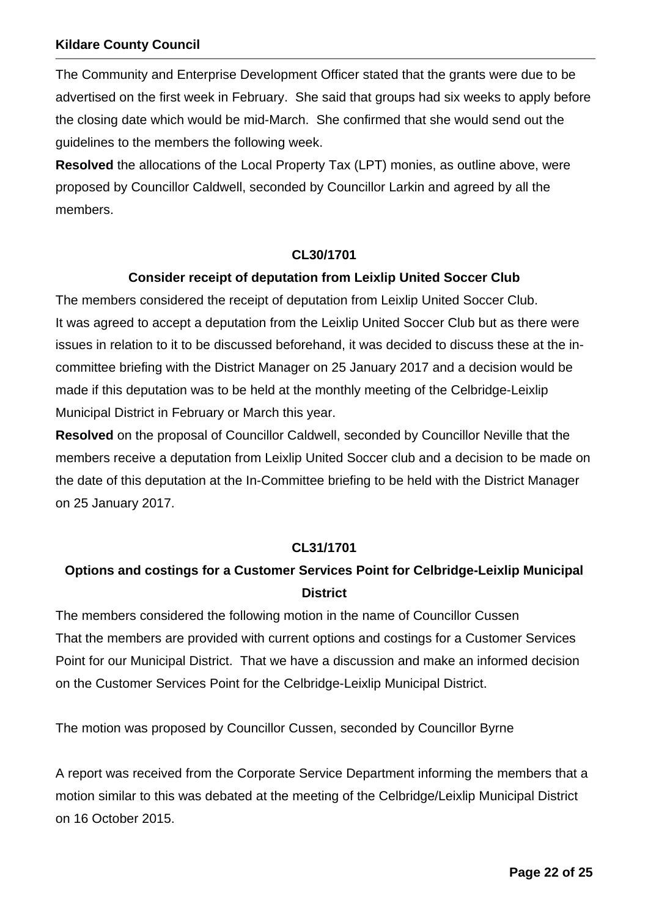The Community and Enterprise Development Officer stated that the grants were due to be advertised on the first week in February. She said that groups had six weeks to apply before the closing date which would be mid-March. She confirmed that she would send out the guidelines to the members the following week.

**Resolved** the allocations of the Local Property Tax (LPT) monies, as outline above, were proposed by Councillor Caldwell, seconded by Councillor Larkin and agreed by all the members.

#### **CL30/1701**

#### **Consider receipt of deputation from Leixlip United Soccer Club**

The members considered the receipt of deputation from Leixlip United Soccer Club. It was agreed to accept a deputation from the Leixlip United Soccer Club but as there were issues in relation to it to be discussed beforehand, it was decided to discuss these at the incommittee briefing with the District Manager on 25 January 2017 and a decision would be made if this deputation was to be held at the monthly meeting of the Celbridge-Leixlip Municipal District in February or March this year.

**Resolved** on the proposal of Councillor Caldwell, seconded by Councillor Neville that the members receive a deputation from Leixlip United Soccer club and a decision to be made on the date of this deputation at the In-Committee briefing to be held with the District Manager on 25 January 2017.

#### **CL31/1701**

# **Options and costings for a Customer Services Point for Celbridge-Leixlip Municipal District**

The members considered the following motion in the name of Councillor Cussen That the members are provided with current options and costings for a Customer Services Point for our Municipal District. That we have a discussion and make an informed decision on the Customer Services Point for the Celbridge-Leixlip Municipal District.

The motion was proposed by Councillor Cussen, seconded by Councillor Byrne

A report was received from the Corporate Service Department informing the members that a motion similar to this was debated at the meeting of the Celbridge/Leixlip Municipal District on 16 October 2015.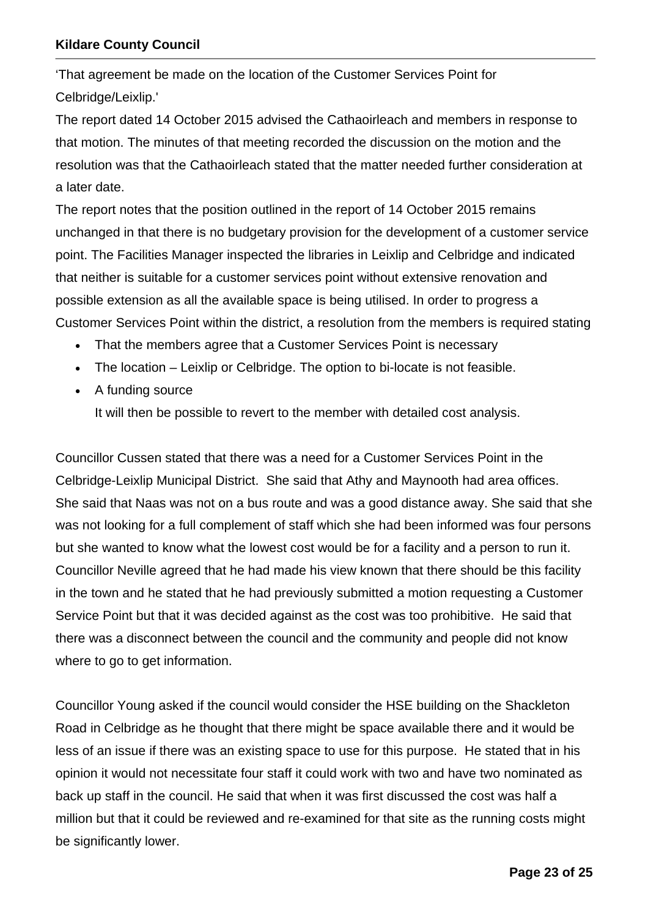'That agreement be made on the location of the Customer Services Point for Celbridge/Leixlip.'

The report dated 14 October 2015 advised the Cathaoirleach and members in response to that motion. The minutes of that meeting recorded the discussion on the motion and the resolution was that the Cathaoirleach stated that the matter needed further consideration at a later date.

The report notes that the position outlined in the report of 14 October 2015 remains unchanged in that there is no budgetary provision for the development of a customer service point. The Facilities Manager inspected the libraries in Leixlip and Celbridge and indicated that neither is suitable for a customer services point without extensive renovation and possible extension as all the available space is being utilised. In order to progress a Customer Services Point within the district, a resolution from the members is required stating

- That the members agree that a Customer Services Point is necessary
- The location Leixlip or Celbridge. The option to bi-locate is not feasible.
- A funding source

It will then be possible to revert to the member with detailed cost analysis.

Councillor Cussen stated that there was a need for a Customer Services Point in the Celbridge-Leixlip Municipal District. She said that Athy and Maynooth had area offices. She said that Naas was not on a bus route and was a good distance away. She said that she was not looking for a full complement of staff which she had been informed was four persons but she wanted to know what the lowest cost would be for a facility and a person to run it. Councillor Neville agreed that he had made his view known that there should be this facility in the town and he stated that he had previously submitted a motion requesting a Customer Service Point but that it was decided against as the cost was too prohibitive. He said that there was a disconnect between the council and the community and people did not know where to go to get information.

Councillor Young asked if the council would consider the HSE building on the Shackleton Road in Celbridge as he thought that there might be space available there and it would be less of an issue if there was an existing space to use for this purpose. He stated that in his opinion it would not necessitate four staff it could work with two and have two nominated as back up staff in the council. He said that when it was first discussed the cost was half a million but that it could be reviewed and re-examined for that site as the running costs might be significantly lower.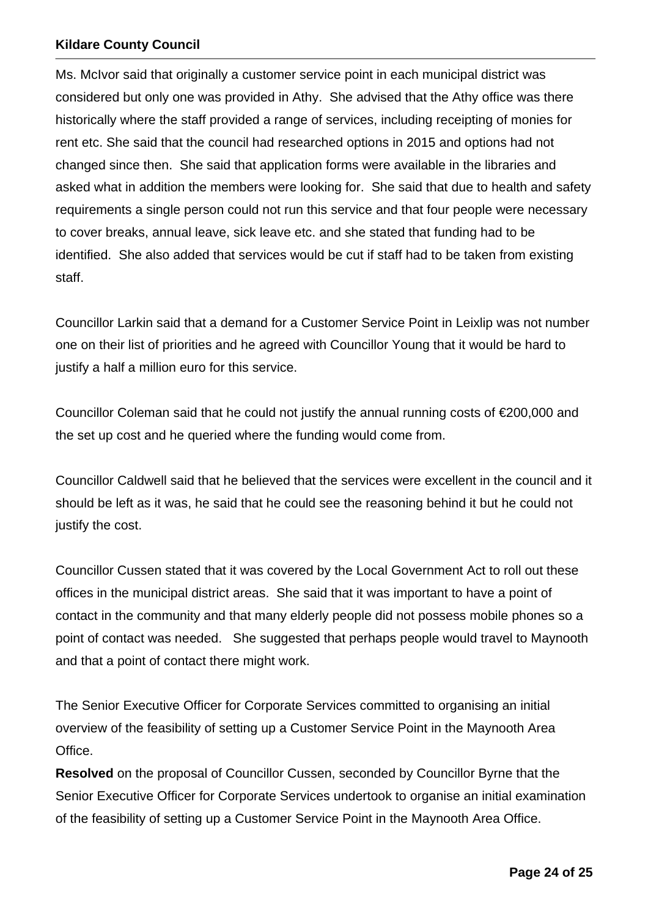Ms. McIvor said that originally a customer service point in each municipal district was considered but only one was provided in Athy. She advised that the Athy office was there historically where the staff provided a range of services, including receipting of monies for rent etc. She said that the council had researched options in 2015 and options had not changed since then. She said that application forms were available in the libraries and asked what in addition the members were looking for. She said that due to health and safety requirements a single person could not run this service and that four people were necessary to cover breaks, annual leave, sick leave etc. and she stated that funding had to be identified. She also added that services would be cut if staff had to be taken from existing staff.

Councillor Larkin said that a demand for a Customer Service Point in Leixlip was not number one on their list of priorities and he agreed with Councillor Young that it would be hard to justify a half a million euro for this service.

Councillor Coleman said that he could not justify the annual running costs of €200,000 and the set up cost and he queried where the funding would come from.

Councillor Caldwell said that he believed that the services were excellent in the council and it should be left as it was, he said that he could see the reasoning behind it but he could not justify the cost.

Councillor Cussen stated that it was covered by the Local Government Act to roll out these offices in the municipal district areas. She said that it was important to have a point of contact in the community and that many elderly people did not possess mobile phones so a point of contact was needed. She suggested that perhaps people would travel to Maynooth and that a point of contact there might work.

The Senior Executive Officer for Corporate Services committed to organising an initial overview of the feasibility of setting up a Customer Service Point in the Maynooth Area Office.

**Resolved** on the proposal of Councillor Cussen, seconded by Councillor Byrne that the Senior Executive Officer for Corporate Services undertook to organise an initial examination of the feasibility of setting up a Customer Service Point in the Maynooth Area Office.